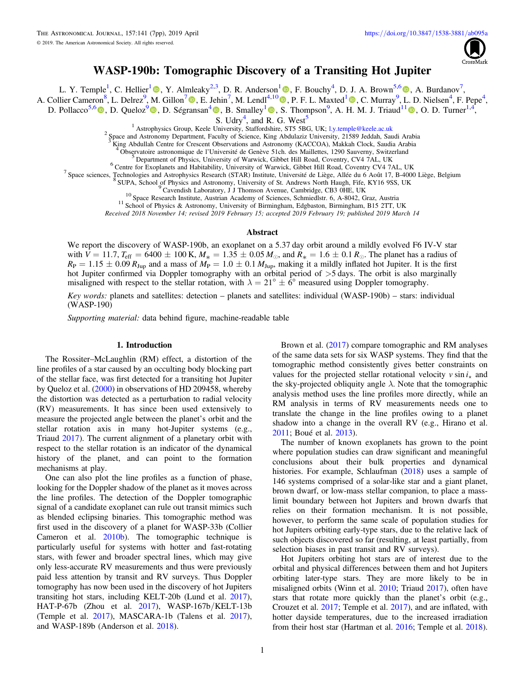

# WASP-190b: Tomographic Discovery of a Transiting Hot Jupiter

L. Y. Temple<sup>[1](https://orcid.org/0000-0001-7416-7522)</sup>, C. Hellier<sup>1</sup> <sup>(0</sup>), Y. Almleaky<sup>2,3</sup>, D. R. Anderson<sup>1</sup> <sup>(0</sup>), F. Bouchy<sup>4</sup>, D. J. A. Brown<sup>5,[6](https://orcid.org/0000-0003-1098-2442)</sup> <sup>(0</sup>)[,](https://orcid.org/0000-0003-1098-2442) A. Burdanov<sup>7</sup>,

A. Collier Cameron<sup>8</sup>, L. Delrez<sup>9</sup>, M. Gillon<sup>[7](https://orcid.org/0000-0003-1462-7739)</sup> (D. E. Jehin<sup>7</sup>[,](https://orcid.org/0000-0003-3794-1317) M. Lendl<sup>4,1[0](https://orcid.org/0000-0001-9699-1459)</sup> (D. P. F. L. Maxted<sup>[1](https://orcid.org/0000-0003-3794-1317)</sup> (D. C. Murray<sup>9</sup>, L. D. Nielsen<sup>4</sup>, F. Pepe<sup>4</sup>,

D. Pollacco<sup>5,[6](https://orcid.org/0000-0001-9850-9697)</sup>  $\bullet$ [,](https://orcid.org/0000-0002-3456-087X) D. Queloz<sup>[9](https://orcid.org/0000-0002-3012-0316)</sup>  $\bullet$ , D. Ségransan<sup>[4](https://orcid.org/0000-0003-2355-8034)</sup>  $\bullet$ , B. Smalley<sup>[1](https://orcid.org/0000-0002-5510-8751)</sup>  $\bullet$ , S. Thompson<sup>9</sup>, A. H. M. J. Triaud<sup>11</sup>  $\bullet$ , O. D. Turner<sup>1,4</sup>,

S. Udry<sup>4</sup>, and R. G. West<sup>5</sup>

<sup>1</sup> Astrophysics Group, Keele University, Staffordshire, ST5 5BG, UK; [l.y.temple@keele.ac.uk](mailto:l.y.temple@keele.ac.uk)<br><sup>2</sup> Space and Astronomy Department, Faculty of Science, King Abdulaziz University, 21589 Jeddah, Saudi Arabia

<sup>3</sup> King Abdullah Centre for Crescent Observations and Astronomy (KACCOA), Makkah Clock, Saudia Arabia<br>
<sup>4</sup> Observatoire astronomique de l'Université de Genève 51ch. des Maillettes, 1290 Sauverny, Switzerland<br>
<sup>5</sup> Departm

Received 2018 November 14; revised 2019 February 15; accepted 2019 February 19; published 2019 March 14

## Abstract

We report the discovery of WASP-190b, an exoplanet on a 5.37 day orbit around a mildly evolved F6 IV-V star with  $V = 11.7$ ,  $T_{\text{eff}} = 6400 \pm 100 \text{ K}$ ,  $M_* = 1.35 \pm 0.05 M_{\odot}$ , and  $R_* = 1.6 \pm 0.1 R_{\odot}$ . The planet has a radius of  $R_P = 1.15 \pm 0.09 R_{Jup}$  and a mass of  $M_P = 1.0 \pm 0.1 M_{Jup}$ , making it a mildly inflated hot Jupiter. It is the first hot Jupiter confirmed via Doppler tomography with an orbital period of  $>5$  days. The orbit is also marginally misaligned with respect to the stellar rotation, with  $\lambda = 21^{\circ} \pm 6^{\circ}$  measured using Doppler tomography.

Key words: planets and satellites: detection – planets and satellites: individual (WASP-190b) – stars: individual (WASP-190)

Supporting material: data behind figure, machine-readable table

## 1. Introduction

The Rossiter–McLaughlin (RM) effect, a distortion of the line profiles of a star caused by an occulting body blocking part of the stellar face, was first detected for a transiting hot Jupiter by Queloz et al. ([2000](#page-6-0)) in observations of HD 209458, whereby the distortion was detected as a perturbation to radial velocity (RV) measurements. It has since been used extensively to measure the projected angle between the planet's orbit and the stellar rotation axis in many hot-Jupiter systems (e.g., Triaud [2017](#page-6-0)). The current alignment of a planetary orbit with respect to the stellar rotation is an indicator of the dynamical history of the planet, and can point to the formation mechanisms at play.

One can also plot the line profiles as a function of phase, looking for the Doppler shadow of the planet as it moves across the line profiles. The detection of the Doppler tomographic signal of a candidate exoplanet can rule out transit mimics such as blended eclipsing binaries. This tomographic method was first used in the discovery of a planet for WASP-33b (Collier Cameron et al. [2010b](#page-5-0)). The tomographic technique is particularly useful for systems with hotter and fast-rotating stars, with fewer and broader spectral lines, which may give only less-accurate RV measurements and thus were previously paid less attention by transit and RV surveys. Thus Doppler tomography has now been used in the discovery of hot Jupiters transiting hot stars, including KELT-20b (Lund et al. [2017](#page-6-0)), HAT-P-67b (Zhou et al. [2017](#page-6-0)), WASP-167b/KELT-13b (Temple et al. [2017](#page-6-0)), MASCARA-1b (Talens et al. [2017](#page-6-0)), and WASP-189b (Anderson et al. [2018](#page-5-0)).

Brown et al. ([2017](#page-5-0)) compare tomographic and RM analyses of the same data sets for six WASP systems. They find that the tomographic method consistently gives better constraints on values for the projected stellar rotational velocity  $v \sin i_x$  and the sky-projected obliquity angle  $\lambda$ . Note that the tomographic analysis method uses the line profiles more directly, while an RM analysis in terms of RV measurements needs one to translate the change in the line profiles owing to a planet shadow into a change in the overall RV (e.g., Hirano et al. [2011;](#page-6-0) Boué et al. [2013](#page-5-0)).

The number of known exoplanets has grown to the point where population studies can draw significant and meaningful conclusions about their bulk properties and dynamical histories. For example, Schlaufman ([2018](#page-6-0)) uses a sample of 146 systems comprised of a solar-like star and a giant planet, brown dwarf, or low-mass stellar companion, to place a masslimit boundary between hot Jupiters and brown dwarfs that relies on their formation mechanism. It is not possible, however, to perform the same scale of population studies for hot Jupiters orbiting early-type stars, due to the relative lack of such objects discovered so far (resulting, at least partially, from selection biases in past transit and RV surveys).

Hot Jupiters orbiting hot stars are of interest due to the orbital and physical differences between them and hot Jupiters orbiting later-type stars. They are more likely to be in misaligned orbits (Winn et al. [2010](#page-6-0); Triaud [2017](#page-6-0)), often have stars that rotate more quickly than the planet's orbit (e.g., Crouzet et al. [2017;](#page-5-0) Temple et al. [2017](#page-6-0)), and are inflated, with hotter dayside temperatures, due to the increased irradiation from their host star (Hartman et al. [2016](#page-6-0); Temple et al. [2018](#page-6-0)).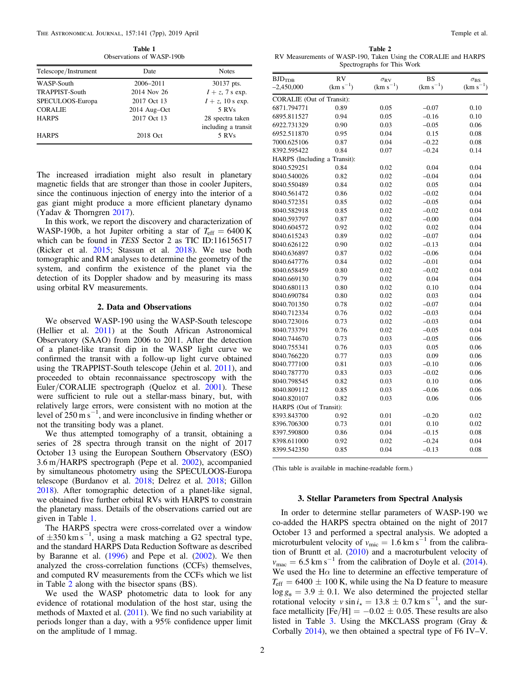<span id="page-1-0"></span>The Astronomical Journal, 157:141 (7pp), 2019 April Temple et al. Temple et al. Temple et al.

Table 1 Observations of WASP-190b

| Telescope/Instrument  | Date         | <b>Notes</b>                            |
|-----------------------|--------------|-----------------------------------------|
| WASP-South            | 2006-2011    | 30137 pts.                              |
| <b>TRAPPIST-South</b> | 2014 Nov 26  | $I + z$ , 7 s exp.                      |
| SPECULOOS-Europa      | 2017 Oct 13  | $I + z$ , 10 s exp.                     |
| <b>CORALIE</b>        | 2014 Aug-Oct | 5 RVs                                   |
| <b>HARPS</b>          | 2017 Oct 13  | 28 spectra taken<br>including a transit |
| <b>HARPS</b>          | 2018 Oct     | 5 RVs                                   |

The increased irradiation might also result in planetary magnetic fields that are stronger than those in cooler Jupiters, since the continuous injection of energy into the interior of a gas giant might produce a more efficient planetary dynamo (Yadav & Thorngren [2017](#page-6-0)).

In this work, we report the discovery and characterization of WASP-190b, a hot Jupiter orbiting a star of  $T_{\text{eff}} = 6400 \text{ K}$ which can be found in TESS Sector 2 as TIC ID:116156517 (Ricker et al. [2015;](#page-6-0) Stassun et al. [2018](#page-6-0)). We use both tomographic and RM analyses to determine the geometry of the system, and confirm the existence of the planet via the detection of its Doppler shadow and by measuring its mass using orbital RV measurements.

### 2. Data and Observations

We observed WASP-190 using the WASP-South telescope (Hellier et al. [2011](#page-6-0)) at the South African Astronomical Observatory (SAAO) from 2006 to 2011. After the detection of a planet-like transit dip in the WASP light curve we confirmed the transit with a follow-up light curve obtained using the TRAPPIST-South telescope (Jehin et al. [2011](#page-6-0)), and proceeded to obtain reconnaissance spectroscopy with the Euler/CORALIE spectrograph (Queloz et al. [2001](#page-6-0)). These were sufficient to rule out a stellar-mass binary, but, with relatively large errors, were consistent with no motion at the level of  $250 \text{ m s}^{-1}$ , and were inconclusive in finding whether or not the transiting body was a planet.

We thus attempted tomography of a transit, obtaining a series of 28 spectra through transit on the night of 2017 October 13 using the European Southern Observatory (ESO) 3.6 m/HARPS spectrograph (Pepe et al. [2002](#page-6-0)), accompanied by simultaneous photometry using the SPECULOOS-Europa telescope (Burdanov et al. [2018](#page-5-0); Delrez et al. [2018](#page-5-0); Gillon [2018](#page-5-0)). After tomographic detection of a planet-like signal, we obtained five further orbital RVs with HARPS to constrain the planetary mass. Details of the observations carried out are given in Table 1.

The HARPS spectra were cross-correlated over a window of  $\pm 350$  km s<sup>-1</sup>, using a mask matching a G2 spectral type, and the standard HARPS Data Reduction Software as described by Baranne et al.  $(1996)$  $(1996)$  $(1996)$  and Pepe et al.  $(2002)$  $(2002)$  $(2002)$ . We then analyzed the cross-correlation functions (CCFs) themselves, and computed RV measurements from the CCFs which we list in Table 2 along with the bisector spans (BS).

We used the WASP photometric data to look for any evidence of rotational modulation of the host star, using the methods of Maxted et al. ([2011](#page-6-0)). We find no such variability at periods longer than a day, with a 95% confidence upper limit on the amplitude of 1 mmag.

Table 2 RV Measurements of WASP-190, Taken Using the CORALIE and HARPS Spectrographs for This Work

| $BJD_{TDB}$                  | <b>RV</b>     |                                    | <b>BS</b>     |                                       |
|------------------------------|---------------|------------------------------------|---------------|---------------------------------------|
| $-2,450,000$                 | $(km s^{-1})$ | $\sigma_{\rm RV}$<br>$(km s^{-1})$ | $(km s^{-1})$ | $\sigma_{BS}$<br>$^{-1}$<br>$(km s-)$ |
|                              |               |                                    |               |                                       |
| CORALIE (Out of Transit):    |               |                                    |               |                                       |
| 6871.794771                  | 0.89          | 0.05                               | $-0.07$       | 0.10                                  |
| 6895.811527                  | 0.94          | 0.05                               | $-0.16$       | 0.10                                  |
| 6922.731329                  | 0.90          | 0.03                               | $-0.05$       | 0.06                                  |
| 6952.511870                  | 0.95          | 0.04                               | 0.15          | 0.08                                  |
| 7000.625106                  | 0.87          | 0.04                               | $-0.22$       | 0.08                                  |
| 8392.595422                  | 0.84          | 0.07                               | $-0.24$       | 0.14                                  |
| HARPS (Including a Transit): |               |                                    |               |                                       |
| 8040.529251                  | 0.84          | 0.02                               | 0.04          | 0.04                                  |
| 8040.540026                  | 0.82          | 0.02                               | $-0.04$       | 0.04                                  |
| 8040.550489                  | 0.84          | 0.02                               | 0.05          | 0.04                                  |
| 8040.561472                  | 0.86          | 0.02                               | $-0.02$       | 0.04                                  |
| 8040.572351                  | 0.85          | 0.02                               | $-0.05$       | 0.04                                  |
| 8040.582918                  | 0.85          | 0.02                               | $-0.02$       | 0.04                                  |
| 8040.593797                  | 0.87          | 0.02                               | $-0.00$       | 0.04                                  |
| 8040.604572                  | 0.92          | 0.02                               | 0.02          | 0.04                                  |
| 8040.615243                  | 0.89          | 0.02                               | $-0.07$       | 0.04                                  |
| 8040.626122                  | 0.90          | 0.02                               | $-0.13$       | 0.04                                  |
| 8040.636897                  | 0.87          | 0.02                               | $-0.06$       | 0.04                                  |
| 8040.647776                  | 0.84          | 0.02                               | $-0.01$       | 0.04                                  |
| 8040.658459                  | 0.80          | 0.02                               | $-0.02$       | 0.04                                  |
| 8040.669130                  | 0.79          | 0.02                               | 0.04          | 0.04                                  |
| 8040.680113                  | 0.80          | 0.02                               | 0.10          | 0.04                                  |
| 8040.690784                  | 0.80          | 0.02                               | 0.03          | 0.04                                  |
| 8040.701350                  | 0.78          | 0.02                               | $-0.07$       | 0.04                                  |
| 8040.712334                  | 0.76          | 0.02                               | $-0.03$       | 0.04                                  |
| 8040.723016                  | 0.73          | 0.02                               | $-0.03$       | 0.04                                  |
| 8040.733791                  | 0.76          | 0.02                               | $-0.05$       | 0.04                                  |
| 8040.744670                  | 0.73          | 0.03                               | $-0.05$       | 0.06                                  |
| 8040.755341                  | 0.76          | 0.03                               | 0.05          | 0.06                                  |
| 8040.766220                  | 0.77          | 0.03                               | 0.09          | 0.06                                  |
| 8040.777100                  | 0.81          | 0.03                               | $-0.10$       | 0.06                                  |
| 8040.787770                  | 0.83          | 0.03                               | $-0.02$       | 0.06                                  |
| 8040.798545                  | 0.82          | 0.03                               | 0.10          | 0.06                                  |
| 8040.809112                  | 0.85          | 0.03                               | $-0.06$       | 0.06                                  |
| 8040.820107                  | 0.82          | 0.03                               | 0.06          | 0.06                                  |
| HARPS (Out of Transit):      |               |                                    |               |                                       |
| 8393.843700                  | 0.92          | 0.01                               | $-0.20$       | 0.02                                  |
| 8396.706300                  | 0.73          | 0.01                               | 0.10          | 0.02                                  |
| 8397.590800                  | 0.86          | 0.04                               | $-0.15$       | 0.08                                  |
| 8398.611000                  | 0.92          | 0.02                               | $-0.24$       | 0.04                                  |
| 8399.542350                  | 0.85          | 0.04                               | $-0.13$       | 0.08                                  |
|                              |               |                                    |               |                                       |

(This table is available in machine-readable form.)

## 3. Stellar Parameters from Spectral Analysis

In order to determine stellar parameters of WASP-190 we co-added the HARPS spectra obtained on the night of 2017 October 13 and performed a spectral analysis. We adopted a microturbulent velocity of  $v_{\text{mic}} = 1.6 \text{ km s}^{-1}$  from the calibration of Bruntt et al. ([2010](#page-5-0)) and a macroturbulent velocity of  $v_{\text{mac}} = 6.5 \text{ km s}^{-1}$  from the calibration of Doyle et al. ([2014](#page-5-0)). We used the  $H\alpha$  line to determine an effective temperature of  $T_{\text{eff}} = 6400 \pm 100 \text{ K}$ , while using the Na D feature to measure  $\log g_* = 3.9 \pm 0.1$ . We also determined the projected stellar rotational velocity  $v \sin i_x = 13.8 \pm 0.7$  km s<sup>-1</sup>, and the surface metallicity  $[Fe/H] = -0.02 \pm 0.05$ . These results are also listed in Table [3](#page-2-0). Using the MKCLASS program (Gray & Corbally [2014](#page-6-0)), we then obtained a spectral type of F6 IV–V.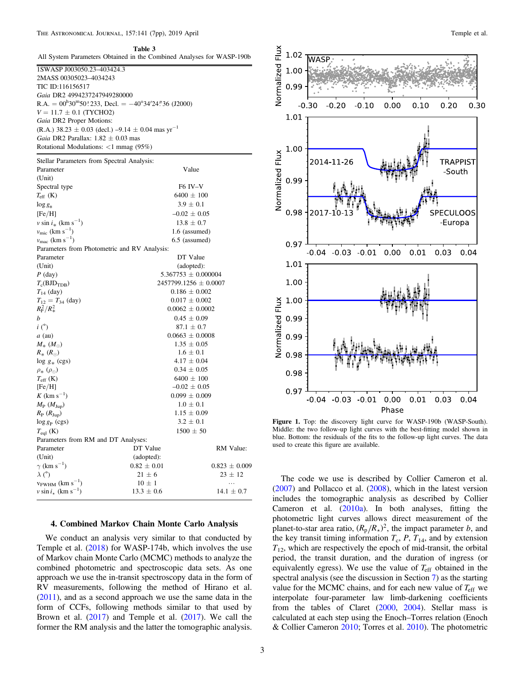#### <span id="page-2-0"></span>The Astronomical Journal, 157:141 (7pp), 2019 April Temple et al. Temple et al.

Table 3

|                                                                       | All System Parameters Obtained in the Combined Analyses for WASP-190b                                   |                         |  |
|-----------------------------------------------------------------------|---------------------------------------------------------------------------------------------------------|-------------------------|--|
| 1SWASP J003050.23-403424.3                                            |                                                                                                         |                         |  |
| 2MASS 00305023-4034243                                                |                                                                                                         |                         |  |
| TIC ID:116156517                                                      |                                                                                                         |                         |  |
| Gaia DR2 4994237247949280000                                          |                                                                                                         |                         |  |
|                                                                       | R.A. = $00^{\text{h}}30^{\text{m}}50$ °233, Decl. = $-40^{\circ}34^{\prime}24^{\prime\prime}36$ (J2000) |                         |  |
| $V = 11.7 \pm 0.1$ (TYCHO2)                                           |                                                                                                         |                         |  |
| Gaia DR2 Proper Motions:                                              |                                                                                                         |                         |  |
| (R.A.) 38.23 $\pm$ 0.03 (decl.) -9.14 $\pm$ 0.04 mas yr <sup>-1</sup> |                                                                                                         |                         |  |
| <i>Gaia</i> DR2 Parallax: $1.82 \pm 0.03$ mas                         |                                                                                                         |                         |  |
| Rotational Modulations: $\langle 1 \text{ mmag } (95\%)$              |                                                                                                         |                         |  |
| Stellar Parameters from Spectral Analysis:                            |                                                                                                         |                         |  |
| Parameter                                                             | Value                                                                                                   |                         |  |
| (Unit)                                                                |                                                                                                         |                         |  |
| Spectral type                                                         | F <sub>6</sub> IV-V                                                                                     |                         |  |
| $T_{\rm eff}$ (K)                                                     | $6400 \pm 100$                                                                                          |                         |  |
| $\log g_*$                                                            | $3.9 \pm 0.1$                                                                                           |                         |  |
| [Fe/H]                                                                | $-0.02 \pm 0.05$                                                                                        |                         |  |
| $v \sin i_*$ (km s <sup>-1</sup> )                                    | $13.8 \pm 0.7$                                                                                          |                         |  |
| $v_{\rm mic}$ (km ${\rm s}^{-1})$                                     |                                                                                                         | 1.6 (assumed)           |  |
| $v_{\mathrm{mac}}~(\mathrm{km~s}^{-1})$                               |                                                                                                         | 6.5 (assumed)           |  |
| Parameters from Photometric and RV Analysis:                          |                                                                                                         |                         |  |
| Parameter                                                             | DT Value                                                                                                |                         |  |
| (Unit)                                                                |                                                                                                         | (adopted):              |  |
| $P$ (day)                                                             |                                                                                                         | $5.367753 \pm 0.000004$ |  |
| $T_c(BJD_{TDB})$                                                      | $2457799.1256 \pm 0.0007$                                                                               |                         |  |
| $T_{14}$ (day)                                                        | $0.186 \pm 0.002$                                                                                       |                         |  |
| $T_{12} = T_{34}$ (day)                                               | $0.017 \pm 0.002$                                                                                       |                         |  |
| $R_{\rm P}^2/R_*^2$                                                   | $0.0062 \pm 0.0002$                                                                                     |                         |  |
| b                                                                     | $0.45 \pm 0.09$                                                                                         |                         |  |
| $i\binom{°}{ }$                                                       | $87.1 \pm 0.7$                                                                                          |                         |  |
| $a$ (au)                                                              | $0.0663 \pm 0.0008$                                                                                     |                         |  |
| $M_*$ $(M_{\odot})$                                                   | $1.35 \pm 0.05$                                                                                         |                         |  |
| $R_{*}$ ( $R_{\odot}$ )                                               | $1.6 \pm 0.1$                                                                                           |                         |  |
| $\log g_*$ (cgs)                                                      | $4.17 \pm 0.04$                                                                                         |                         |  |
| $\rho_* \left( \rho_{\odot} \right)$                                  | $0.34 \pm 0.05$                                                                                         |                         |  |
| $T_{\rm eff}$ (K)                                                     | $6400 \pm 100$                                                                                          |                         |  |
| [Fe/H]                                                                | $-0.02 \pm 0.05$                                                                                        |                         |  |
| $K$ (km s <sup>-1</sup> )                                             | $0.099 \pm 0.009$                                                                                       |                         |  |
| $M_{\rm P}$ ( $M_{\rm Jup}$ )                                         | $1.0 \pm 0.1$                                                                                           |                         |  |
| $R_{\rm P}$ ( $R_{\rm Jup}$ )                                         | $1.15 \pm 0.09$                                                                                         |                         |  |
| $\log g_{\rm P}$ (cgs)                                                | $3.2 \pm 0.1$                                                                                           |                         |  |
| $T_{\rm cal}$ (K)                                                     | $1500 \pm 50$                                                                                           |                         |  |
| Parameters from RM and DT Analyses:                                   |                                                                                                         |                         |  |
| Parameter                                                             | DT Value                                                                                                | RM Value:               |  |
| (Unit)                                                                | (adopted):                                                                                              |                         |  |
| $\gamma$ (km s <sup>-1</sup> )                                        | $0.82 \pm 0.01$                                                                                         | $0.823 \pm 0.009$       |  |
| $\lambda$ (°)                                                         | $21 \pm 6$                                                                                              | $23 \pm 12$             |  |
| $v_{FWHM}$ (km s <sup>-1</sup> )                                      | $10 \pm 1$                                                                                              | .                       |  |
| $v \sin i_{\star}$ (km s <sup>-1</sup> )                              | $13.3 \pm 0.6$                                                                                          | $14.1 \pm 0.7$          |  |
|                                                                       |                                                                                                         |                         |  |

# 4. Combined Markov Chain Monte Carlo Analysis

We conduct an analysis very similar to that conducted by Temple et al. ([2018](#page-6-0)) for WASP-174b, which involves the use of Markov chain Monte Carlo (MCMC) methods to analyze the combined photometric and spectroscopic data sets. As one approach we use the in-transit spectroscopy data in the form of RV measurements, following the method of Hirano et al. ([2011](#page-6-0)), and as a second approach we use the same data in the form of CCFs, following methods similar to that used by Brown et al. ([2017](#page-5-0)) and Temple et al. ([2017](#page-6-0)). We call the former the RM analysis and the latter the tomographic analysis.



Figure 1. Top: the discovery light curve for WASP-190b (WASP-South). Middle: the two follow-up light curves with the best-fitting model shown in blue. Bottom: the residuals of the fits to the follow-up light curves. The data used to create this figure are available.

The code we use is described by Collier Cameron et al.  $(2007)$  $(2007)$  $(2007)$  and Pollacco et al.  $(2008)$  $(2008)$  $(2008)$ , which in the latest version includes the tomographic analysis as described by Collier Cameron et al. ([2010a](#page-5-0)). In both analyses, fitting the photometric light curves allows direct measurement of the planet-to-star area ratio,  $(R_p/R<sub>x</sub>)^2$ , the impact parameter b, and the key transit timing information  $T_c$ , P,  $T_{14}$ , and by extension  $T_{12}$ , which are respectively the epoch of mid-transit, the orbital period, the transit duration, and the duration of ingress (or equivalently egress). We use the value of *T*eff obtained in the spectral analysis (see the discussion in Section [7](#page-4-0)) as the starting value for the MCMC chains, and for each new value of  $T_{\rm eff}$  we interpolate four-parameter law limb-darkening coefficients from the tables of Claret ([2000,](#page-5-0) [2004](#page-5-0)). Stellar mass is calculated at each step using the Enoch–Torres relation (Enoch & Collier Cameron [2010;](#page-5-0) Torres et al. [2010](#page-6-0)). The photometric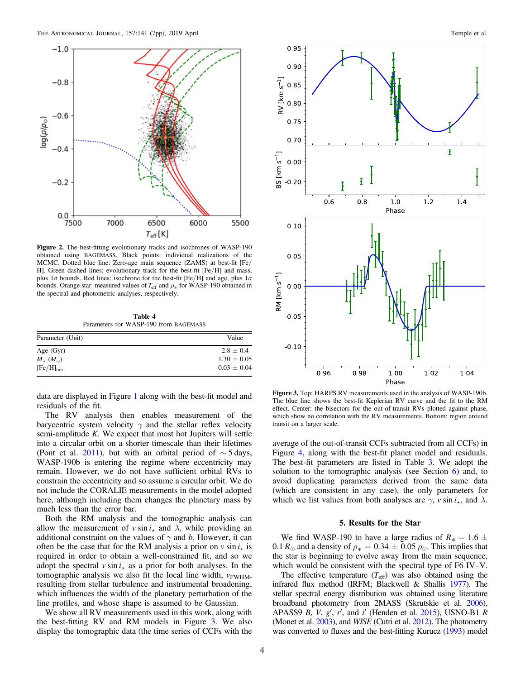<span id="page-3-0"></span>

Figure 2. The best-fitting evolutionary tracks and isochrones of WASP-190 obtained using BAGEMASS. Black points: individual realizations of the MCMC. Dotted blue line: Zero-age main sequence (ZAMS) at best-fit [Fe/ H]. Green dashed lines: evolutionary track for the best-fit [Fe/H] and mass, plus  $1\sigma$  bounds. Red lines: isochrone for the best-fit [Fe/H] and age, plus  $1\sigma$ bounds. Orange star: measured values of  $T_{\text{eff}}$  and  $\rho_*$  for WASP-190 obtained in the spectral and photometric analyses, respectively.

Table 4 Parameters for WASP-190 from BAGEMASS

| Parameter (Unit)   | Value           |
|--------------------|-----------------|
| Age $(Gyr)$        | $2.8 \pm 0.4$   |
| $M_{*}(M_{\odot})$ | $1.30 \pm 0.05$ |
| $[Fe/H]_{init}$    | $0.03 \pm 0.04$ |

data are displayed in Figure [1](#page-2-0) along with the best-fit model and residuals of the fit.

The RV analysis then enables measurement of the barycentric system velocity  $\gamma$  and the stellar reflex velocity semi-amplitude K. We expect that most hot Jupiters will settle into a circular orbit on a shorter timescale than their lifetimes (Pont et al. [2011](#page-6-0)), but with an orbital period of  $\sim$  5 days, WASP-190b is entering the regime where eccentricity may remain. However, we do not have sufficient orbital RVs to constrain the eccentricity and so assume a circular orbit. We do not include the CORALIE measurements in the model adopted here, although including them changes the planetary mass by much less than the error bar.

Both the RM analysis and the tomographic analysis can allow the measurement of  $v \sin i_x$  and  $\lambda$ , while providing an additional constraint on the values of  $\gamma$  and b. However, it can often be the case that for the RM analysis a prior on  $v \sin i_x$  is required in order to obtain a well-constrained fit, and so we adopt the spectral  $v \sin i_x$  as a prior for both analyses. In the tomographic analysis we also fit the local line width,  $v_{\text{FWHM}}$ , resulting from stellar turbulence and instrumental broadening, which influences the width of the planetary perturbation of the line profiles, and whose shape is assumed to be Gaussian.

We show all RV measurements used in this work, along with the best-fitting RV and RM models in Figure 3. We also display the tomographic data (the time series of CCFs with the



Figure 3. Top: HARPS RV measurements used in the analysis of WASP-190b. The blue line shows the best-fit Keplerian RV curve and the fit to the RM effect. Center: the bisectors for the out-of-transit RVs plotted against phase, which show no correlation with the RV measurements. Bottom: region around transit on a larger scale.

average of the out-of-transit CCFs subtracted from all CCFs) in Figure [4,](#page-4-0) along with the best-fit planet model and residuals. The best-fit parameters are listed in Table [3.](#page-2-0) We adopt the solution to the tomographic analysis (see Section [6](#page-4-0)) and, to avoid duplicating parameters derived from the same data (which are consistent in any case), the only parameters for which we list values from both analyses are  $\gamma$ ,  $\nu \sin i_{\star}$ , and  $\lambda$ .

# 5. Results for the Star

We find WASP-190 to have a large radius of  $R_* = 1.6 \pm 1.6$ 0.1  $R_{\odot}$  and a density of  $\rho_* = 0.34 \pm 0.05 \rho_{\odot}$ . This implies that the star is beginning to evolve away from the main sequence, which would be consistent with the spectral type of F6 IV–V.

The effective temperature  $(T_{\text{eff}})$  was also obtained using the infrared flux method (IRFM; Blackwell & Shallis [1977](#page-5-0)). The stellar spectral energy distribution was obtained using literature broadband photometry from 2MASS (Skrutskie et al. [2006](#page-6-0)), APASS9 B, V,  $g'$ , r', and i' (Henden et al. [2015](#page-6-0)), USNO-B1 R (Monet et al. [2003](#page-6-0)), and WISE (Cutri et al. [2012](#page-5-0)). The photometry was converted to fluxes and the best-fitting Kurucz ([1993](#page-6-0)) model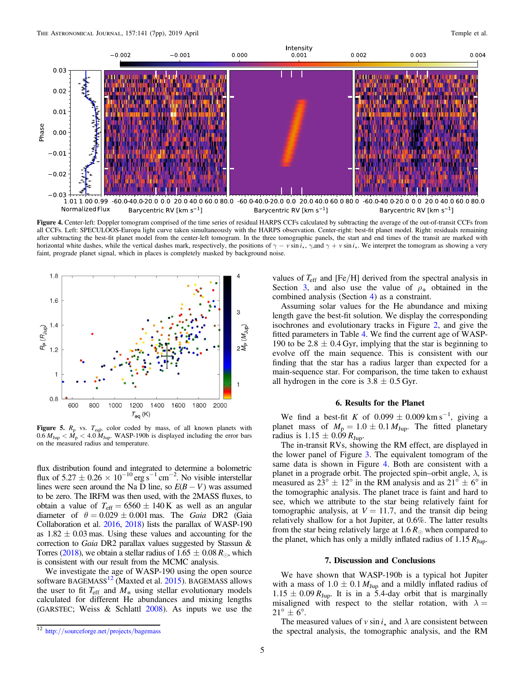<span id="page-4-0"></span>

Figure 4. Center-left: Doppler tomogram comprised of the time series of residual HARPS CCFs calculated by subtracting the average of the out-of-transit CCFs from all CCFs. Left: SPECULOOS-Europa light curve taken simultaneously with the HARPS observation. Center-right: best-fit planet model. Right: residuals remaining after subtracting the best-fit planet model from the center-left tomogram. In the three tomographic panels, the start and end times of the transit are marked with horizontal white dashes, while the vertical dashes mark, respectively, the positions of  $\gamma - v \sin i_x$ ,  $\gamma$ , and  $\gamma + v \sin i_x$ . We interpret the tomogram as showing a very faint, prograde planet signal, which in places is completely masked by background noise.



Figure 5.  $R_p$  vs.  $T_{eql}$ , color coded by mass, of all known planets with  $0.6 M_{Jup} < \dot{M}_p < 4.0 M_{Jup}$ . WASP-190b is displayed including the error bars on the measured radius and temperature.

flux distribution found and integrated to determine a bolometric flux of  $5.27 \pm 0.26 \times 10^{-10}$  erg s<sup>-1</sup> cm<sup>-2</sup>. No visible interstellar lines were seen around the Na D line, so  $E(B - V)$  was assumed to be zero. The IRFM was then used, with the 2MASS fluxes, to obtain a value of  $T_{\text{eff}} = 6560 \pm 140 \text{ K}$  as well as an angular diameter of  $\theta = 0.029 \pm 0.001$  mas. The *Gaia* DR2 (Gaia Collaboration et al. [2016,](#page-5-0) [2018](#page-5-0)) lists the parallax of WASP-190 as  $1.82 \pm 0.03$  mas. Using these values and accounting for the correction to Gaia DR2 parallax values suggested by Stassun & Torres ([2018](#page-6-0)), we obtain a stellar radius of  $1.65 \pm 0.08 R_{\odot}$ , which is consistent with our result from the MCMC analysis.

We investigate the age of WASP-190 using the open source software BAGEMASS<sup>12</sup> (Maxted et al. [2015](#page-6-0)). BAGEMASS allows the user to fit  $T_{\text{eff}}$  and  $M_*$  using stellar evolutionary models calculated for different He abundances and mixing lengths (GARSTEC; Weiss & Schlattl [2008](#page-6-0)). As inputs we use the values of  $T_{\text{eff}}$  and [Fe/H] derived from the spectral analysis in Section [3](#page-1-0), and also use the value of  $\rho_*$  obtained in the combined analysis (Section [4](#page-2-0)) as a constraint.

Assuming solar values for the He abundance and mixing length gave the best-fit solution. We display the corresponding isochrones and evolutionary tracks in Figure [2,](#page-3-0) and give the fitted parameters in Table [4.](#page-3-0) We find the current age of WASP-190 to be 2.8  $\pm$  0.4 Gyr, implying that the star is beginning to evolve off the main sequence. This is consistent with our finding that the star has a radius larger than expected for a main-sequence star. For comparison, the time taken to exhaust all hydrogen in the core is  $3.8 \pm 0.5$  Gyr.

### 6. Results for the Planet

We find a best-fit K of  $0.099 \pm 0.009$  km s<sup>-1</sup>, giving a planet mass of  $M_p = 1.0 \pm 0.1 M_{Jup}$ . The fitted planetary radius is  $1.15 \pm 0.09 R_{\text{Jup}}$ .

The in-transit RVs, showing the RM effect, are displayed in the lower panel of Figure [3.](#page-3-0) The equivalent tomogram of the same data is shown in Figure 4. Both are consistent with a planet in a prograde orbit. The projected spin–orbit angle,  $\lambda$ , is measured as  $23^{\circ} \pm 12^{\circ}$  in the RM analysis and as  $21^{\circ} \pm 6^{\circ}$  in the tomographic analysis. The planet trace is faint and hard to see, which we attribute to the star being relatively faint for tomographic analysis, at  $V = 11.7$ , and the transit dip being relatively shallow for a hot Jupiter, at 0.6%. The latter results from the star being relatively large at 1.6  $R_{\odot}$  when compared to the planet, which has only a mildly inflated radius of  $1.15 R_{\text{Jup}}$ .

#### 7. Discussion and Conclusions

We have shown that WASP-190b is a typical hot Jupiter with a mass of  $1.0 \pm 0.1 M_{Jup}$  and a mildly inflated radius of  $1.15 \pm 0.09 R_{Jup}$ . It is in a 5.4-day orbit that is marginally misaligned with respect to the stellar rotation, with  $\lambda =$  $21^{\circ} \pm 6^{\circ}$ .

The measured values of *v* sin  $i_{\star}$  and  $\lambda$  are consistent between the spectral analysis, the tomographic analysis, and the RM

<sup>12</sup> http://[sourceforge.net](http://sourceforge.net/projects/bagemass)/projects/bagemass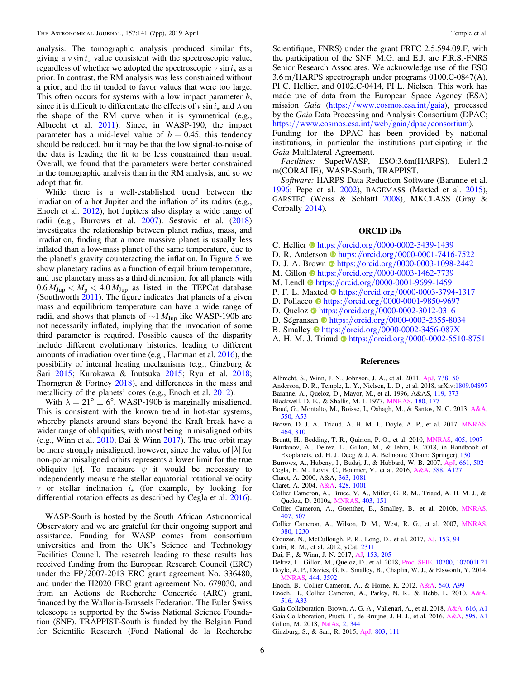<span id="page-5-0"></span>analysis. The tomographic analysis produced similar fits, giving a  $v \sin i_x$  value consistent with the spectroscopic value, regardless of whether we adopted the spectroscopic  $v \sin i_x$  as a prior. In contrast, the RM analysis was less constrained without a prior, and the fit tended to favor values that were too large. This often occurs for systems with a low impact parameter b, since it is difficult to differentiate the effects of  $v \sin i_x$  and  $\lambda$  on the shape of the RM curve when it is symmetrical (e.g., Albrecht et al. 2011). Since, in WASP-190, the impact parameter has a mid-level value of  $b = 0.45$ , this tendency should be reduced, but it may be that the low signal-to-noise of the data is leading the fit to be less constrained than usual. Overall, we found that the parameters were better constrained in the tomographic analysis than in the RM analysis, and so we adopt that fit.

While there is a well-established trend between the irradiation of a hot Jupiter and the inflation of its radius (e.g., Enoch et al. 2012), hot Jupiters also display a wide range of radii (e.g., Burrows et al. 2007). Sestovic et al. ([2018](#page-6-0)) investigates the relationship between planet radius, mass, and irradiation, finding that a more massive planet is usually less inflated than a low-mass planet of the same temperature, due to the planet's gravity counteracting the inflation. In Figure [5](#page-4-0) we show planetary radius as a function of equilibrium temperature, and use planetary mass as a third dimension, for all planets with  $0.6 M_{Jup} < M_p < 4.0 M_{Jup}$  as listed in the TEPCat database (Southworth  $2011$ ). The figure indicates that planets of a given mass and equilibrium temperature can have a wide range of radii, and shows that planets of  $\sim$ 1  $M_{\text{Jup}}$  like WASP-190b are not necessarily inflated, implying that the invocation of some third parameter is required. Possible causes of the disparity include different evolutionary histories, leading to different amounts of irradiation over time (e.g., Hartman et al. [2016](#page-6-0)), the possibility of internal heating mechanisms (e.g., Ginzburg & Sari 2015; Kurokawa & Inutsuka [2015;](#page-6-0) Ryu et al. [2018](#page-6-0); Thorngren & Fortney [2018](#page-6-0)), and differences in the mass and metallicity of the planets' cores (e.g., Enoch et al. 2012).

With  $\lambda = 21^{\circ} \pm 6^{\circ}$ , WASP-190b is marginally misaligned. This is consistent with the known trend in hot-star systems, whereby planets around stars beyond the Kraft break have a wider range of obliquities, with most being in misaligned orbits (e.g., Winn et al. [2010;](#page-6-0) Dai & Winn 2017). The true orbit may be more strongly misaligned, however, since the value of∣ ∣ *l* for non-polar misaligned orbits represents a lower limit for the true obliquity  $|\psi|$ . To measure  $\psi$  it would be necessary to independently measure the stellar equatorial rotational velocity v or stellar inclination  $i_{\star}$  (for example, by looking for differential rotation effects as described by Cegla et al. 2016).

WASP-South is hosted by the South African Astronomical Observatory and we are grateful for their ongoing support and assistance. Funding for WASP comes from consortium universities and from the UK's Science and Technology Facilities Council. The research leading to these results has received funding from the European Research Council (ERC) under the FP/2007-2013 ERC grant agreement No. 336480, and under the H2020 ERC grant agreement No. 679030, and from an Actions de Recherche Concertée (ARC) grant, financed by the Wallonia-Brussels Federation. The Euler Swiss telescope is supported by the Swiss National Science Foundation (SNF). TRAPPIST-South is funded by the Belgian Fund for Scientific Research (Fond National de la Recherche

Scientifique, FNRS) under the grant FRFC 2.5.594.09.F, with the participation of the SNF. M.G. and E.J. are F.R.S.-FNRS Senior Research Associates. We acknowledge use of the ESO 3.6 m/HARPS spectrograph under programs 0100.C-0847(A), PI C. Hellier, and 0102.C-0414, PI L. Nielsen. This work has made use of data from the European Space Agency (ESA) mission *Gaia* (https://[www.cosmos.esa.int](https://www.cosmos.esa.int/gaia)/gaia), processed by the Gaia Data Processing and Analysis Consortium (DPAC; https://[www.cosmos.esa.int](https://www.cosmos.esa.int/web/gaia/dpac/consortium)/web/gaia/dpac/consortium).

Funding for the DPAC has been provided by national institutions, in particular the institutions participating in the Gaia Multilateral Agreement.

Facilities: SuperWASP, ESO:3.6m(HARPS), Euler1.2 m(CORALIE), WASP-South, TRAPPIST.

Software: HARPS Data Reduction Software (Baranne et al. 1996; Pepe et al. [2002](#page-6-0)), BAGEMASS (Maxted et al. [2015](#page-6-0)), GARSTEC (Weiss & Schlattl [2008](#page-6-0)), MKCLASS (Gray & Corbally [2014](#page-6-0)).

# ORCID iDs

- C. Hellier the [https:](https://orcid.org/0000-0002-3439-1439)//orcid.org/[0000-0002-3439-1439](https://orcid.org/0000-0002-3439-1439)
- D. R. Anderson the [https:](https://orcid.org/0000-0001-7416-7522)//orcid.org/[0000-0001-7416-7522](https://orcid.org/0000-0001-7416-7522)
- D. J. A. Brown  $\bullet$  [https:](https://orcid.org/0000-0003-1098-2442)//orcid.org/[0000-0003-1098-2442](https://orcid.org/0000-0003-1098-2442)
- M. Gillon [https:](https://orcid.org/0000-0003-1462-7739)//orcid.org/[0000-0003-1462-7739](https://orcid.org/0000-0003-1462-7739)
- M. Lendl **[https:](https://orcid.org/0000-0001-9699-1459)//orcid.org/[0000-0001-9699-1459](https://orcid.org/0000-0001-9699-1459)**
- P. F. L. Maxted  $\bullet$  [https:](https://orcid.org/0000-0003-3794-1317)//orcid.org/[0000-0003-3794-1317](https://orcid.org/0000-0003-3794-1317)
- D. Pollacco [https:](https://orcid.org/0000-0001-9850-9697)//orcid.org/[0000-0001-9850-9697](https://orcid.org/0000-0001-9850-9697)
- D. Quelo[z](https://orcid.org/0000-0002-3012-0316) [https:](https://orcid.org/0000-0002-3012-0316)//orcid.org/[0000-0002-3012-0316](https://orcid.org/0000-0002-3012-0316)
- D. Ségransan @ [https:](https://orcid.org/0000-0003-2355-8034)//orcid.org/[0000-0003-2355-8034](https://orcid.org/0000-0003-2355-8034)
- B. Smalley **[https:](https://orcid.org/0000-0002-3456-087X)//orcid.org/[0000-0002-3456-087X](https://orcid.org/0000-0002-3456-087X)**
- A. H. M. J. Triau[d](https://orcid.org/0000-0002-5510-8751) **the [https:](https://orcid.org/0000-0002-5510-8751)**//orcid.org/[0000-0002-5510-8751](https://orcid.org/0000-0002-5510-8751)

#### References

- Albrecht, S., Winn, J. N., Johnson, J. A., et al. 2011, [ApJ](https://doi.org/10.1088/0004-637X/738/1/50), [738, 50](http://adsabs.harvard.edu/abs/2011ApJ...738...50A)
- Anderson, D. R., Temple, L. Y., Nielsen, L. D., et al. 2018, arXiv[:1809.04897](http://arxiv.org/abs/1809.04897)
- Baranne, A., Queloz, D., Mayor, M., et al. 1996, A&AS, [119, 373](http://adsabs.harvard.edu/abs/1996A&AS..119..373B)
- Blackwell, D. E., & Shallis, M. J. 1977, [MNRAS](https://doi.org/10.1093/mnras/180.2.177), [180, 177](http://adsabs.harvard.edu/abs/1977MNRAS.180..177B)
- Boué, G., Montalto, M., Boisse, I., Oshagh, M., & Santos, N. C. 2013, [A&A](https://doi.org/10.1051/0004-6361/201220146)[,](http://adsabs.harvard.edu/abs/2013A&A...550A..53B) [550, A53](http://adsabs.harvard.edu/abs/2013A&A...550A..53B)
- Brown, D. J. A., Triaud, A. H. M. J., Doyle, A. P., et al. 2017, [MNRAS](https://doi.org/10.1093/mnras/stw2316)[,](http://adsabs.harvard.edu/abs/2017MNRAS.464..810B) [464, 810](http://adsabs.harvard.edu/abs/2017MNRAS.464..810B)
- Bruntt, H., Bedding, T. R., Quirion, P.-O., et al. 2010, [MNRAS](https://doi.org/10.1111/j.1365-2966.2010.16575.x), [405, 1907](http://adsabs.harvard.edu/abs/2010MNRAS.405.1907B)
- Burdanov, A., Delrez, L., Gillon, M., & Jehin, E. 2018, in Handbook of Exoplanets, ed. H. J. Deeg & J. A. Belmonte (Cham: Springer), [130](http://adsabs.harvard.edu/abs/2018haex.bookE.130B)
- Burrows, A., Hubeny, I., Budaj, J., & Hubbard, W. B. 2007, [ApJ](https://doi.org/10.1086/514326), [661, 502](http://adsabs.harvard.edu/abs/2007ApJ...661..502B)
- Cegla, H. M., Lovis, C., Bourrier, V., et al. 2016, [A&A](https://doi.org/10.1051/0004-6361/201527794), [588, A127](http://adsabs.harvard.edu/abs/2016A&A...588A.127C)
- Claret, A. 2000, A&A, [363, 1081](http://adsabs.harvard.edu/abs/2000A&A...363.1081C)
- Claret, A. 2004, [A&A](https://doi.org/10.1051/0004-6361:20041673), [428, 1001](http://adsabs.harvard.edu/abs/2004A&A...428.1001C)
- Collier Cameron, A., Bruce, V. A., Miller, G. R. M., Triaud, A. H. M. J., & Queloz, D. 2010a, [MNRAS](https://doi.org/10.1111/j.1365-2966.2009.16131.x), [403, 151](http://adsabs.harvard.edu/abs/2010MNRAS.403..151C)
- Collier Cameron, A., Guenther, E., Smalley, B., et al. 2010b, [MNRAS](https://doi.org/10.1111/j.1365-2966.2010.16922.x)[,](http://adsabs.harvard.edu/abs/2010MNRAS.407..507C) [407, 507](http://adsabs.harvard.edu/abs/2010MNRAS.407..507C)
- Collier Cameron, A., Wilson, D. M., West, R. G., et al. 2007, [MNRAS](https://doi.org/10.1111/j.1365-2966.2007.12195.x)[,](http://adsabs.harvard.edu/abs/2007MNRAS.380.1230C) [380, 1230](http://adsabs.harvard.edu/abs/2007MNRAS.380.1230C)
- Crouzet, N., McCullough, P. R., Long, D., et al. 2017, [AJ](https://doi.org/10.3847/1538-3881/153/3/94), [153, 94](http://adsabs.harvard.edu/abs/2017AJ....153...94C)
- Cutri, R. M., et al. 2012, yCat, [2311](http://adsabs.harvard.edu/abs/2012yCat.2311....0C)
- Dai, F., & Winn, J. N. 2017, [AJ](https://doi.org/10.3847/1538-3881/aa65d1), [153, 205](http://adsabs.harvard.edu/abs/2017AJ....153..205D)
- Delrez, L., Gillon, M., Queloz, D., et al. 2018, [Proc. SPIE,](https://doi.org/10.1117/12.2312475) [10700, 107001I 21](http://adsabs.harvard.edu/abs/2018SPIE10700E..1ID)
- Doyle, A. P., Davies, G. R., Smalley, B., Chaplin, W. J., & Elsworth, Y. 2014, [MNRAS](https://doi.org/10.1093/mnras/stu1692), [444, 3592](http://adsabs.harvard.edu/abs/2014MNRAS.444.3592D)
- Enoch, B., Collier Cameron, A., & Horne, K. 2012, [A&A](https://doi.org/10.1051/0004-6361/201117317), [540, A99](http://adsabs.harvard.edu/abs/2012A&A...540A..99E)
- Enoch, B., Collier Cameron, A., Parley, N. R., & Hebb, L. 2010, [A&A](https://doi.org/10.1051/0004-6361/201014326)[,](http://adsabs.harvard.edu/abs/2010A&A...516A..33E) [516, A33](http://adsabs.harvard.edu/abs/2010A&A...516A..33E)
- Gaia Collaboration, Brown, A. G. A., Vallenari, A., et al. 2018, [A&A](https://doi.org/10.1051/0004-6361/201833051), [616, A1](http://adsabs.harvard.edu/abs/2018A&A...616A...1G) Gaia Collaboration, Prusti, T., de Bruijne, J. H. J., et al. 2016, [A&A](https://doi.org/10.1051/0004-6361/201629272), [595, A1](http://adsabs.harvard.edu/abs/2016A&A...595A...1G) Gillon, M. 2018, [NatAs](https://doi.org/10.1038/s41550-018-0443-y), [2, 344](http://adsabs.harvard.edu/abs/2018NatAs...2..344G)
- Ginzburg, S., & Sari, R. 2015, [ApJ,](https://doi.org/10.1088/0004-637X/803/2/111) [803, 111](http://adsabs.harvard.edu/abs/2015ApJ...803..111G)